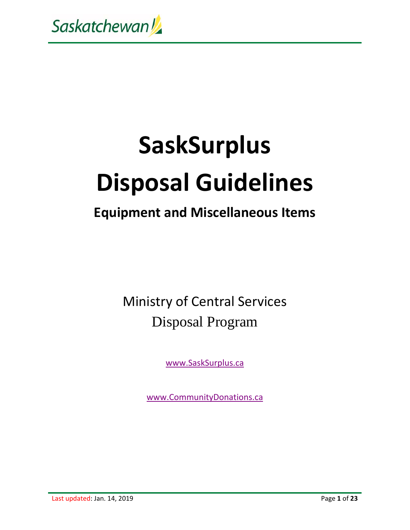

# **SaskSurplus Disposal Guidelines**

### **Equipment and Miscellaneous Items**

Ministry of Central Services Disposal Program

www.SaskSurplus.ca

www.CommunityDonations.ca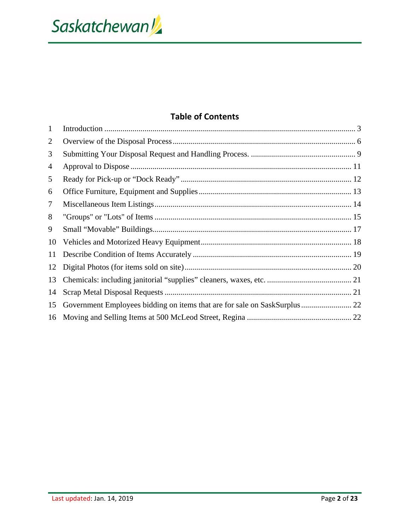Saskatchewan!

#### **Table of Contents**

| $\mathbf{1}$ |  |
|--------------|--|
| 2            |  |
| 3            |  |
| 4            |  |
| 5            |  |
| 6            |  |
| 7            |  |
| 8            |  |
| 9            |  |
| 10           |  |
| 11           |  |
| 12           |  |
| 13           |  |
| 14           |  |
| 15           |  |
| 16           |  |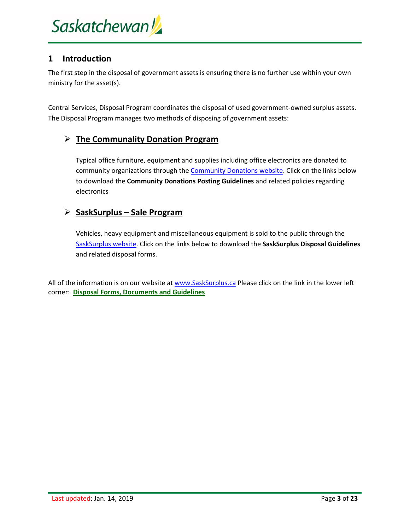#### **1 Introduction**

The first step in the disposal of government assets is ensuring there is no further use within your own ministry for the asset(s).

Central Services, Disposal Program coordinates the disposal of used government‐owned surplus assets. The Disposal Program manages two methods of disposing of government assets:

#### **The Communality Donation Program**

Typical office furniture, equipment and supplies including office electronics are donated to community organizations through the Community Donations website. Click on the links below to download the **Community Donations Posting Guidelines** and related policies regarding electronics

#### **SaskSurplus – Sale Program**

Vehicles, heavy equipment and miscellaneous equipment is sold to the public through the SaskSurplus website. Click on the links below to download the **SaskSurplus Disposal Guidelines** and related disposal forms.

All of the information is on our website at www.SaskSurplus.ca Please click on the link in the lower left corner: **Disposal Forms, Documents and Guidelines**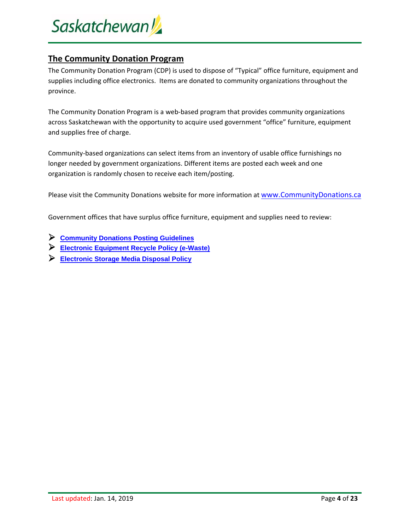

#### **The Community Donation Program**

The Community Donation Program (CDP) is used to dispose of "Typical" office furniture, equipment and supplies including office electronics. Items are donated to community organizations throughout the province.

The Community Donation Program is a web-based program that provides community organizations across Saskatchewan with the opportunity to acquire used government "office" furniture, equipment and supplies free of charge.

Community‐based organizations can select items from an inventory of usable office furnishings no longer needed by government organizations. Different items are posted each week and one organization is randomly chosen to receive each item/posting.

Please visit the Community Donations website for more information at www.CommunityDonations.ca

Government offices that have surplus office furniture, equipment and supplies need to review:

- **Community Donations Posting Guidelines**
- **Electronic Equipment Recycle Policy (e-Waste)**
- **Electronic Storage Media Disposal Policy**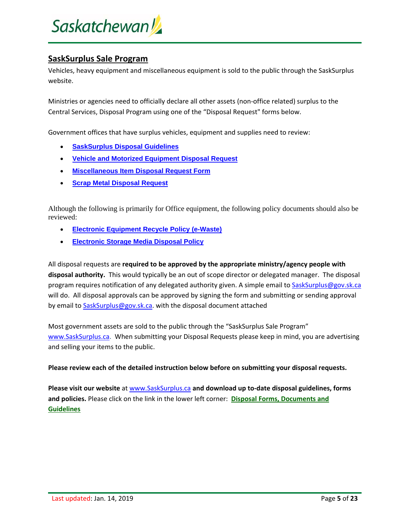# Saskatchewan!

#### **SaskSurplus Sale Program**

Vehicles, heavy equipment and miscellaneous equipment is sold to the public through the SaskSurplus website.

Ministries or agencies need to officially declare all other assets (non‐office related) surplus to the Central Services, Disposal Program using one of the "Disposal Request" forms below.

Government offices that have surplus vehicles, equipment and supplies need to review:

- **SaskSurplus Disposal Guidelines**
- **Vehicle and Motorized Equipment Disposal Request**
- **Miscellaneous Item Disposal Request Form**
- **Scrap Metal Disposal Request**

Although the following is primarily for Office equipment, the following policy documents should also be reviewed:

- **Electronic Equipment Recycle Policy (e-Waste)**
- **Electronic Storage Media Disposal Policy**

All disposal requests are **required to be approved by the appropriate ministry/agency people with disposal authority.** This would typically be an out of scope director or delegated manager. The disposal program requires notification of any delegated authority given. A simple email to SaskSurplus@gov.sk.ca will do. All disposal approvals can be approved by signing the form and submitting or sending approval by email to SaskSurplus@gov.sk.ca. with the disposal document attached

Most government assets are sold to the public through the "SaskSurplus Sale Program" www.SaskSurplus.ca. When submitting your Disposal Requests please keep in mind, you are advertising and selling your items to the public.

#### **Please review each of the detailed instruction below before on submitting your disposal requests.**

**Please visit our website** at www.SaskSurplus.ca **and download up to‐date disposal guidelines, forms and policies.** Please click on the link in the lower left corner: **Disposal Forms, Documents and Guidelines**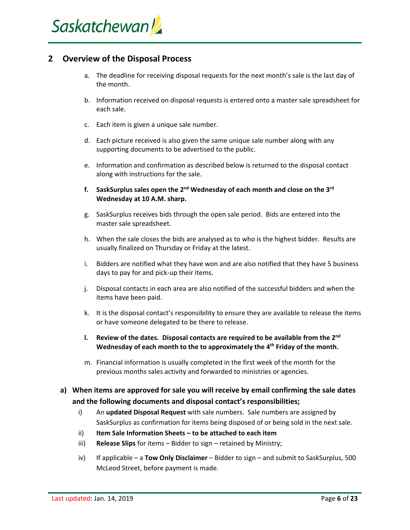

#### **2 Overview of the Disposal Process**

- a. The deadline for receiving disposal requests for the next month's sale is the last day of the month.
- b. Information received on disposal requests is entered onto a master sale spreadsheet for each sale.
- c. Each item is given a unique sale number.
- d. Each picture received is also given the same unique sale number along with any supporting documents to be advertised to the public.
- e. Information and confirmation as described below is returned to the disposal contact along with instructions for the sale.
- **f. SaskSurplus sales open the 2nd Wednesday of each month and close on the 3rd Wednesday at 10 A.M. sharp.**
- g. SaskSurplus receives bids through the open sale period. Bids are entered into the master sale spreadsheet.
- h. When the sale closes the bids are analysed as to who is the highest bidder. Results are usually finalized on Thursday or Friday at the latest.
- i. Bidders are notified what they have won and are also notified that they have 5 business days to pay for and pick‐up their items.
- j. Disposal contacts in each area are also notified of the successful bidders and when the items have been paid.
- k. It is the disposal contact's responsibility to ensure they are available to release the items or have someone delegated to be there to release.
- **l. Review of the dates. Disposal contacts are required to be available from the 2nd Wednesday of each month to the to approximately the 4th Friday of the month.**
- m. Financial information is usually completed in the first week of the month for the previous months sales activity and forwarded to ministries or agencies.
- **a) When items are approved for sale you will receive by email confirming the sale dates and the following documents and disposal contact's responsibilities;**
	- i) An **updated Disposal Request** with sale numbers. Sale numbers are assigned by SaskSurplus as confirmation for items being disposed of or being sold in the next sale.
	- ii) **Item Sale Information Sheets – to be attached to each item**
	- iii) **Release Slips** for items Bidder to sign retained by Ministry;
	- iv) If applicable a **Tow Only Disclaimer** Bidder to sign and submit to SaskSurplus, 500 McLeod Street, before payment is made.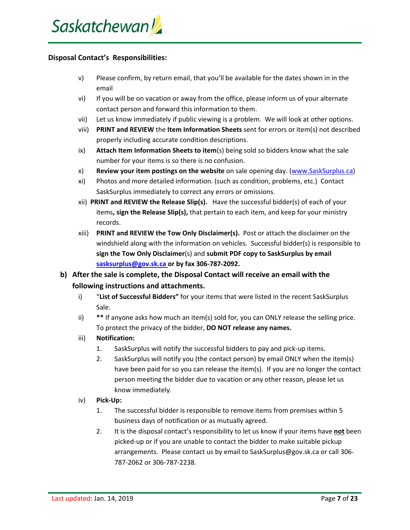#### **Disposal Contact's Responsibilities:**

- v) Please confirm, by return email, that you'll be available for the dates shown in in the email
- vi) If you will be on vacation or away from the office, please inform us of your alternate contact person and forward this information to them.
- vii) Let us know immediately if public viewing is a problem. We will look at other options.
- viii) **PRINT and REVIEW** the **Item Information Sheets** sent for errors or item(s) not described properly including accurate condition descriptions.
- ix) **Attach Item Information Sheets to item**(s) being sold so bidders know what the sale number for your items is so there is no confusion.
- x) **Review your item postings on the website** on sale opening day. (www.SaskSurplus.ca)
- xi) Photos and more detailed information. (such as condition, problems, etc.) Contact SaskSurplus immediately to correct any errors or omissions.
- xii) **PRINT and REVIEW the Release Slip(s).** Have the successful bidder(s) of each of your items**, sign the Release Slip(s),** that pertain to each item, and keep for your ministry records.
- xiii) **PRINT and REVIEW the Tow Only Disclaimer(s).** Post or attach the disclaimer on the windshield along with the information on vehicles. Successful bidder(s) is responsible to **sign the Tow Only Disclaimer**(s) and **submit PDF copy to SaskSurplus by email sasksurplus@gov.sk.ca or by fax 306‐787‐2092.**
- **b) After the sale is complete, the Disposal Contact will receive an email with the following instructions and attachments.**
	- i) "**List of Successful Bidders"** for your items that were listed in the recent SaskSurplus Sale.
	- ii) **\*\*** If anyone asks how much an item(s) sold for, you can ONLY release the selling price. To protect the privacy of the bidder, **DO NOT release any names.**

#### iii) **Notification:**

- 1. SaskSurplus will notify the successful bidders to pay and pick‐up items.
- 2. SaskSurplus will notify you (the contact person) by email ONLY when the item(s) have been paid for so you can release the item(s). If you are no longer the contact person meeting the bidder due to vacation or any other reason, please let us know immediately.
- iv) **Pick‐Up:**
	- 1. The successful bidder is responsible to remove items from premises within 5 business days of notification or as mutually agreed.
	- 2. It is the disposal contact's responsibility to let us know if your items have **not** been picked‐up or if you are unable to contact the bidder to make suitable pickup arrangements. Please contact us by email to SaskSurplus@gov.sk.ca or call 306‐ 787‐2062 or 306‐787‐2238.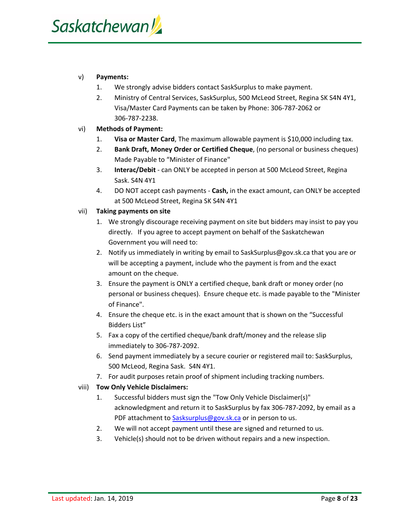#### v) **Payments:**

- 1. We strongly advise bidders contact SaskSurplus to make payment.
- 2. Ministry of Central Services, SaskSurplus, 500 McLeod Street, Regina SK S4N 4Y1, Visa/Master Card Payments can be taken by Phone: 306‐787‐2062 or 306‐787‐2238.

#### vi) **Methods of Payment:**

- 1. **Visa or Master Card**, The maximum allowable payment is \$10,000 including tax.
- 2. **Bank Draft, Money Order or Certified Cheque**, (no personal or business cheques) Made Payable to "Minister of Finance"
- 3. **Interac/Debit** ‐ can ONLY be accepted in person at 500 McLeod Street, Regina Sask. S4N 4Y1
- 4. DO NOT accept cash payments ‐ **Cash,** in the exact amount, can ONLY be accepted at 500 McLeod Street, Regina SK S4N 4Y1

#### vii) **Taking payments on site**

- 1. We strongly discourage receiving payment on site but bidders may insist to pay you directly. If you agree to accept payment on behalf of the Saskatchewan Government you will need to:
- 2. Notify us immediately in writing by email to SaskSurplus@gov.sk.ca that you are or will be accepting a payment, include who the payment is from and the exact amount on the cheque.
- 3. Ensure the payment is ONLY a certified cheque, bank draft or money order (no personal or business cheques). Ensure cheque etc. is made payable to the "Minister of Finance".
- 4. Ensure the cheque etc. is in the exact amount that is shown on the "Successful Bidders List"
- 5. Fax a copy of the certified cheque/bank draft/money and the release slip immediately to 306‐787‐2092.
- 6. Send payment immediately by a secure courier or registered mail to: SaskSurplus, 500 McLeod, Regina Sask. S4N 4Y1.
- 7. For audit purposes retain proof of shipment including tracking numbers.

#### viii) **Tow Only Vehicle Disclaimers:**

- 1. Successful bidders must sign the "Tow Only Vehicle Disclaimer(s)" acknowledgment and return it to SaskSurplus by fax 306‐787‐2092, by email as a PDF attachment to Sasksurplus@gov.sk.ca or in person to us.
- 2. We will not accept payment until these are signed and returned to us.
- 3. Vehicle(s) should not to be driven without repairs and a new inspection.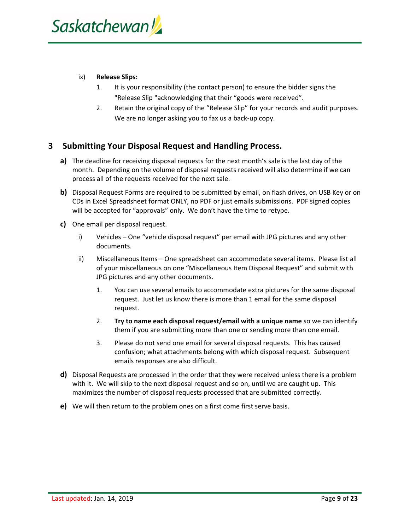#### ix) **Release Slips:**

- 1. It is your responsibility (the contact person) to ensure the bidder signs the "Release Slip "acknowledging that their "goods were received".
- 2. Retain the original copy of the "Release Slip" for your records and audit purposes. We are no longer asking you to fax us a back‐up copy.

#### **3 Submitting Your Disposal Request and Handling Process.**

- **a)** The deadline for receiving disposal requests for the next month's sale is the last day of the month. Depending on the volume of disposal requests received will also determine if we can process all of the requests received for the next sale.
- **b)** Disposal Request Forms are required to be submitted by email, on flash drives, on USB Key or on CDs in Excel Spreadsheet format ONLY, no PDF or just emails submissions. PDF signed copies will be accepted for "approvals" only. We don't have the time to retype.
- **c)** One email per disposal request.
	- i) Vehicles One "vehicle disposal request" per email with JPG pictures and any other documents.
	- ii) Miscellaneous Items One spreadsheet can accommodate several items. Please list all of your miscellaneous on one "Miscellaneous Item Disposal Request" and submit with JPG pictures and any other documents.
		- 1. You can use several emails to accommodate extra pictures for the same disposal request. Just let us know there is more than 1 email for the same disposal request.
		- 2. **Try to name each disposal request/email with a unique name** so we can identify them if you are submitting more than one or sending more than one email.
		- 3. Please do not send one email for several disposal requests. This has caused confusion; what attachments belong with which disposal request. Subsequent emails responses are also difficult.
- **d)** Disposal Requests are processed in the order that they were received unless there is a problem with it. We will skip to the next disposal request and so on, until we are caught up. This maximizes the number of disposal requests processed that are submitted correctly.
- **e)** We will then return to the problem ones on a first come first serve basis.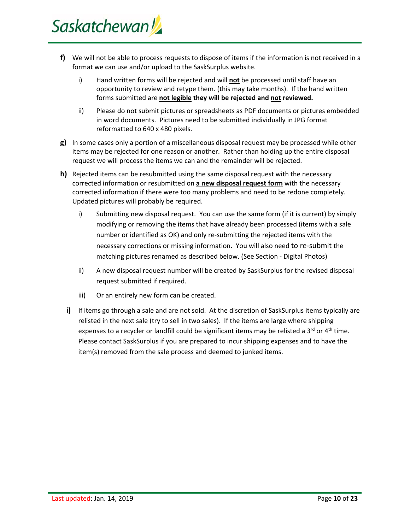- **f)** We will not be able to process requests to dispose of items if the information is not received in a format we can use and/or upload to the SaskSurplus website.
	- i) Hand written forms will be rejected and will **not** be processed until staff have an opportunity to review and retype them. (this may take months). If the hand written forms submitted are **not legible they will be rejected and not reviewed.**
	- ii) Please do not submit pictures or spreadsheets as PDF documents or pictures embedded in word documents. Pictures need to be submitted individually in JPG format reformatted to 640 x 480 pixels.
- **g)** In some cases only a portion of a miscellaneous disposal request may be processed while other items may be rejected for one reason or another. Rather than holding up the entire disposal request we will process the items we can and the remainder will be rejected.
- **h)** Rejected items can be resubmitted using the same disposal request with the necessary corrected information or resubmitted on **a new disposal request form** with the necessary corrected information if there were too many problems and need to be redone completely. Updated pictures will probably be required.
	- i) Submitting new disposal request. You can use the same form (if it is current) by simply modifying or removing the items that have already been processed (items with a sale number or identified as OK) and only re‐submitting the rejected items with the necessary corrections or missing information. You will also need to re‐submit the matching pictures renamed as described below. (See Section ‐ Digital Photos)
	- ii) A new disposal request number will be created by SaskSurplus for the revised disposal request submitted if required.
	- iii) Or an entirely new form can be created.
	- **i)** If items go through a sale and are not sold. At the discretion of SaskSurplus items typically are relisted in the next sale (try to sell in two sales). If the items are large where shipping expenses to a recycler or landfill could be significant items may be relisted a  $3^{rd}$  or  $4^{th}$  time. Please contact SaskSurplus if you are prepared to incur shipping expenses and to have the item(s) removed from the sale process and deemed to junked items.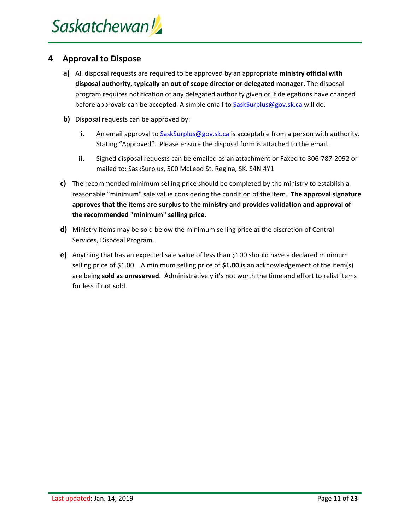#### **4 Approval to Dispose**

- **a)** All disposal requests are required to be approved by an appropriate **ministry official with disposal authority, typically an out of scope director or delegated manager.** The disposal program requires notification of any delegated authority given or if delegations have changed before approvals can be accepted. A simple email to **SaskSurplus@gov.sk.ca** will do.
- **b)** Disposal requests can be approved by:
	- **i.** An email approval to SaskSurplus@gov.sk.ca is acceptable from a person with authority. Stating "Approved". Please ensure the disposal form is attached to the email.
	- **ii.** Signed disposal requests can be emailed as an attachment or Faxed to 306‐787‐2092 or mailed to: SaskSurplus, 500 McLeod St. Regina, SK. S4N 4Y1
- **c)** The recommended minimum selling price should be completed by the ministry to establish a reasonable "minimum" sale value considering the condition of the item. **The approval signature approves that the items are surplus to the ministry and provides validation and approval of the recommended "minimum" selling price.**
- **d)** Ministry items may be sold below the minimum selling price at the discretion of Central Services, Disposal Program.
- **e)** Anything that has an expected sale value of less than \$100 should have a declared minimum selling price of \$1.00. A minimum selling price of **\$1.00** is an acknowledgement of the item(s) are being **sold as unreserved**. Administratively it's not worth the time and effort to relist items for less if not sold.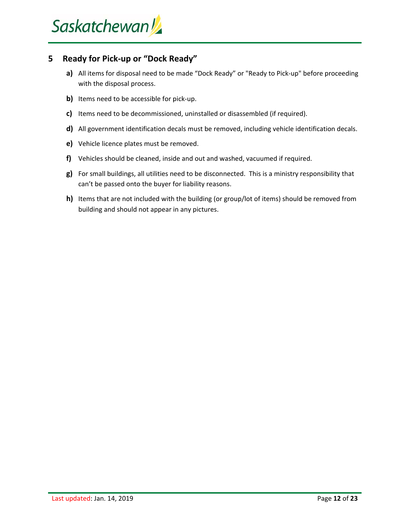#### **5 Ready for Pick‐up or "Dock Ready"**

- **a)** All items for disposal need to be made "Dock Ready" or "Ready to Pick‐up" before proceeding with the disposal process.
- **b)** Items need to be accessible for pick-up.
- **c)** Items need to be decommissioned, uninstalled or disassembled (if required).
- **d)** All government identification decals must be removed, including vehicle identification decals.
- **e)** Vehicle licence plates must be removed.
- **f)** Vehicles should be cleaned, inside and out and washed, vacuumed if required.
- **g)** For small buildings, all utilities need to be disconnected. This is a ministry responsibility that can't be passed onto the buyer for liability reasons.
- **h)** Items that are not included with the building (or group/lot of items) should be removed from building and should not appear in any pictures.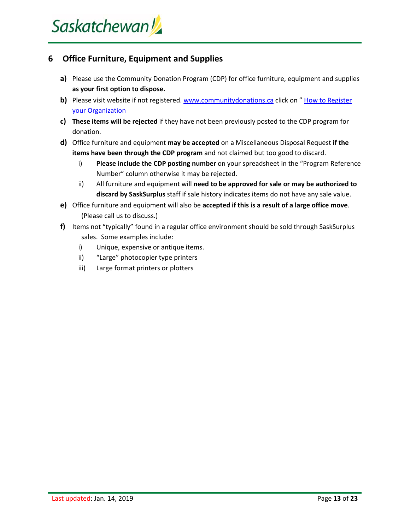#### **6 Office Furniture, Equipment and Supplies**

- **a)** Please use the Community Donation Program (CDP) for office furniture, equipment and supplies **as your first option to dispose.**
- **b)** Please visit website if not registered. www.communitydonations.ca click on " How to Register your Organization
- **c) These items will be rejected** if they have not been previously posted to the CDP program for donation.
- **d)** Office furniture and equipment **may be accepted** on a Miscellaneous Disposal Request **if the items have been through the CDP program** and not claimed but too good to discard.
	- i) **Please include the CDP posting number** on your spreadsheet in the "Program Reference Number" column otherwise it may be rejected.
	- ii) All furniture and equipment will **need to be approved for sale or may be authorized to discard by SaskSurplus** staff if sale history indicates items do not have any sale value.
- **e)** Office furniture and equipment will also be **accepted if this is a result of a large office move**. (Please call us to discuss.)
- **f)** Items not "typically" found in a regular office environment should be sold through SaskSurplus sales. Some examples include:
	- i) Unique, expensive or antique items.
	- ii) "Large" photocopier type printers
	- iii) Large format printers or plotters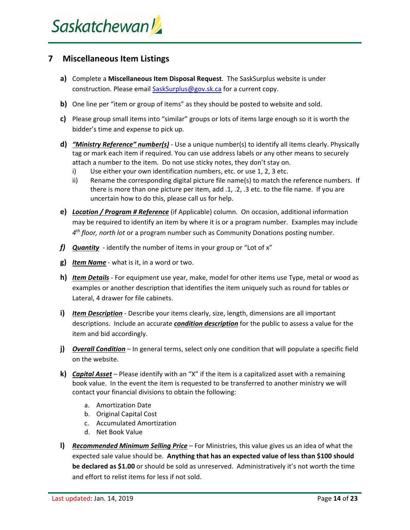#### **7 Miscellaneous Item Listings**

- **a)** Complete a **Miscellaneous Item Disposal Request**. The SaskSurplus website is under construction. Please email SaskSurplus@gov.sk.ca for a current copy.
- **b)** One line per "item or group of items" as they should be posted to website and sold.
- **c)** Please group small items into "similar" groups or lots of items large enough so it is worth the bidder's time and expense to pick up.
- **d)** *"Ministry Reference" number(s)* ‐ Use a unique number(s) to identify all items clearly. Physically tag or mark each item if required. You can use address labels or any other means to securely attach a number to the item. Do not use sticky notes, they don't stay on.
	- i) Use either your own identification numbers, etc. or use 1, 2, 3 etc.
	- ii) Rename the corresponding digital picture file name(s) to match the reference numbers. If there is more than one picture per item, add .1, .2, .3 etc. to the file name. If you are uncertain how to do this, please call us for help.
- **e)** *Location / Program # Reference* (if Applicable) column. On occasion, additional information may be required to identify an item by where it is or a program number. Examples may include *4th floor, north lot* or a program number such as Community Donations posting number.
- *f) Quantity* ‐ identify the number of items in your group or "Lot of x"
- **g)** *Item Name* ‐ what is it, in a word or two.
- **h)** *Item Details* ‐ For equipment use year, make, model for other items use Type, metal or wood as examples or another description that identifies the item uniquely such as round for tables or Lateral, 4 drawer for file cabinets.
- **i)** *Item Description* ‐ Describe your items clearly, size, length, dimensions are all important descriptions. Include an accurate *condition description* for the public to assess a value for the item and bid accordingly.
- **j)** *Overall Condition* In general terms, select only one condition that will populate a specific field on the website.
- **k)** *Capital Asset* Please identify with an "X" if the item is a capitalized asset with a remaining book value. In the event the item is requested to be transferred to another ministry we will contact your financial divisions to obtain the following:
	- a. Amortization Date
	- b. Original Capital Cost
	- c. Accumulated Amortization
	- d. Net Book Value
- **l)** *Recommended Minimum Selling Price* For Ministries, this value gives us an idea of what the expected sale value should be. **Anything that has an expected value of less than \$100 should be declared as \$1.00** or should be sold as unreserved. Administratively it's not worth the time and effort to relist items for less if not sold.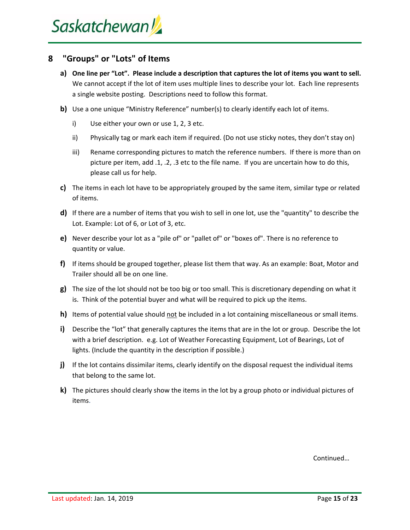#### **8 "Groups" or "Lots" of Items**

- a) One line per "Lot". Please include a description that captures the lot of items you want to sell. We cannot accept if the lot of item uses multiple lines to describe your lot. Each line represents a single website posting. Descriptions need to follow this format.
- **b**) Use a one unique "Ministry Reference" number(s) to clearly identify each lot of items.
	- i) Use either your own or use 1, 2, 3 etc.
	- ii) Physically tag or mark each item if required. (Do not use sticky notes, they don't stay on)
	- iii) Rename corresponding pictures to match the reference numbers. If there is more than on picture per item, add .1, .2, .3 etc to the file name. If you are uncertain how to do this, please call us for help.
- **c)** The items in each lot have to be appropriately grouped by the same item, similar type or related of items.
- **d)** If there are a number of items that you wish to sell in one lot, use the "quantity" to describe the Lot. Example: Lot of 6, or Lot of 3, etc.
- **e)** Never describe your lot as a "pile of" or "pallet of" or "boxes of". There is no reference to quantity or value.
- **f)** If items should be grouped together, please list them that way. As an example: Boat, Motor and Trailer should all be on one line.
- **g)** The size of the lot should not be too big or too small. This is discretionary depending on what it is. Think of the potential buyer and what will be required to pick up the items.
- **h)** Items of potential value should not be included in a lot containing miscellaneous or small items.
- **i)** Describe the "lot" that generally captures the items that are in the lot or group. Describe the lot with a brief description. e.g. Lot of Weather Forecasting Equipment, Lot of Bearings, Lot of lights. (Include the quantity in the description if possible.)
- **j)** If the lot contains dissimilar items, clearly identify on the disposal request the individual items that belong to the same lot.
- **k)** The pictures should clearly show the items in the lot by a group photo or individual pictures of items.

Continued…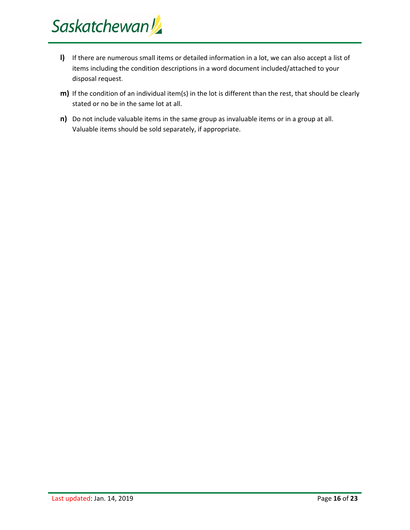- **l)** If there are numerous small items or detailed information in a lot, we can also accept a list of items including the condition descriptions in a word document included/attached to your disposal request.
- **m)** If the condition of an individual item(s) in the lot is different than the rest, that should be clearly stated or no be in the same lot at all.
- **n)** Do not include valuable items in the same group as invaluable items or in a group at all. Valuable items should be sold separately, if appropriate.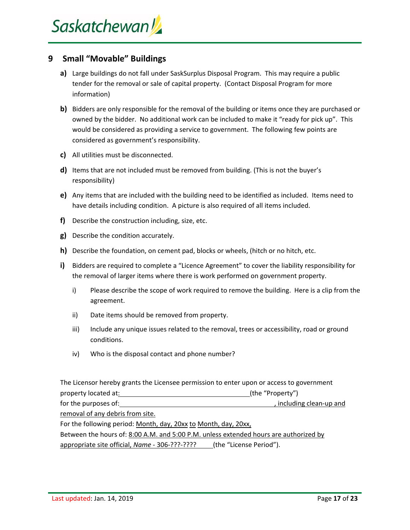#### **9 Small "Movable" Buildings**

- **a)** Large buildings do not fall under SaskSurplus Disposal Program. This may require a public tender for the removal or sale of capital property. (Contact Disposal Program for more information)
- **b)** Bidders are only responsible for the removal of the building or items once they are purchased or owned by the bidder. No additional work can be included to make it "ready for pick up". This would be considered as providing a service to government. The following few points are considered as government's responsibility.
- **c)** All utilities must be disconnected.
- **d)** Items that are not included must be removed from building. (This is not the buyer's responsibility)
- **e)** Any items that are included with the building need to be identified as included. Items need to have details including condition. A picture is also required of all items included.
- **f)** Describe the construction including, size, etc.
- **g)** Describe the condition accurately.
- **h)** Describe the foundation, on cement pad, blocks or wheels, (hitch or no hitch, etc.
- **i)** Bidders are required to complete a "Licence Agreement" to cover the liability responsibility for the removal of larger items where there is work performed on government property.
	- i) Please describe the scope of work required to remove the building. Here is a clip from the agreement.
	- ii) Date items should be removed from property.
	- iii) Include any unique issues related to the removal, trees or accessibility, road or ground conditions.
	- iv) Who is the disposal contact and phone number?

The Licensor hereby grants the Licensee permission to enter upon or access to government property located at: (the "Property") for the purposes of: *beginned* to the purposes of: *beginned* the purposes of: *beginned* the purposes of: **beginned** the purposes of: **beginned** the purposes of: **beginned** the purposes of: **beginned** the purposes removal of any debris from site. For the following period: Month, day, 20xx to Month, day, 20xx, Between the hours of: 8:00 A.M. and 5:00 P.M. unless extended hours are authorized by appropriate site official, *Name* - 306-???-???? (the "License Period").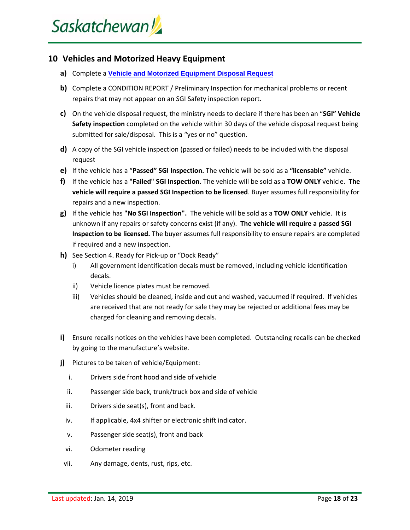#### **10 Vehicles and Motorized Heavy Equipment**

- **a)** Complete a **Vehicle and Motorized Equipment Disposal Request**
- **b)** Complete a CONDITION REPORT / Preliminary Inspection for mechanical problems or recent repairs that may not appear on an SGI Safety inspection report.
- **c)** On the vehicle disposal request, the ministry needs to declare if there has been an "**SGI" Vehicle Safety inspection** completed on the vehicle within 30 days of the vehicle disposal request being submitted for sale/disposal. This is a "yes or no" question.
- **d)** A copy of the SGI vehicle inspection (passed or failed) needs to be included with the disposal request
- **e)** If the vehicle has a "**Passed" SGI Inspection.** The vehicle will be sold as a **"licensable"** vehicle.
- **f)** If the vehicle has a **"Failed" SGI Inspection.** The vehicle will be sold as a **TOW ONLY** vehicle. **The vehicle will require a passed SGI Inspection to be licensed**. Buyer assumes full responsibility for repairs and a new inspection.
- **g)** If the vehicle has **"No SGI Inspection".** The vehicle will be sold as a **TOW ONLY** vehicle. It is unknown if any repairs or safety concerns exist (if any). **The vehicle will require a passed SGI Inspection to be licensed.** The buyer assumes full responsibility to ensure repairs are completed if required and a new inspection.
- **h)** See Section 4. Ready for Pick‐up or "Dock Ready"
	- i) All government identification decals must be removed, including vehicle identification decals.
	- ii) Vehicle licence plates must be removed.
	- iii) Vehicles should be cleaned, inside and out and washed, vacuumed if required. If vehicles are received that are not ready for sale they may be rejected or additional fees may be charged for cleaning and removing decals.
- **i)** Ensure recalls notices on the vehicles have been completed. Outstanding recalls can be checked by going to the manufacture's website.
- **j)** Pictures to be taken of vehicle/Equipment:
	- i. Drivers side front hood and side of vehicle
	- ii. Passenger side back, trunk/truck box and side of vehicle
	- iii. Drivers side seat(s), front and back.
	- iv. If applicable, 4x4 shifter or electronic shift indicator.
	- v. Passenger side seat(s), front and back
	- vi. Odometer reading
- vii. Any damage, dents, rust, rips, etc.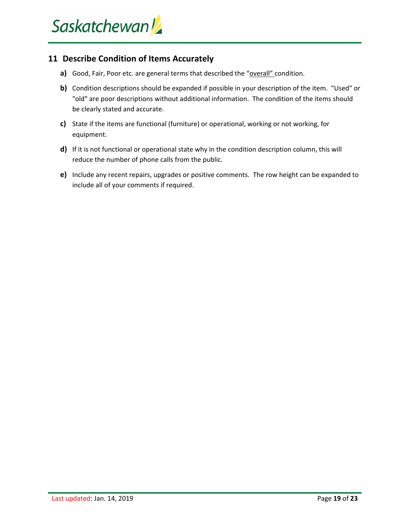#### **11 Describe Condition of Items Accurately**

- **a)** Good, Fair, Poor etc. are general terms that described the "overall" condition.
- **b)** Condition descriptions should be expanded if possible in your description of the item. "Used" or "old" are poor descriptions without additional information. The condition of the items should be clearly stated and accurate.
- **c)** State if the items are functional (furniture) or operational, working or not working, for equipment.
- **d**) If it is not functional or operational state why in the condition description column, this will reduce the number of phone calls from the public.
- **e)** Include any recent repairs, upgrades or positive comments. The row height can be expanded to include all of your comments if required.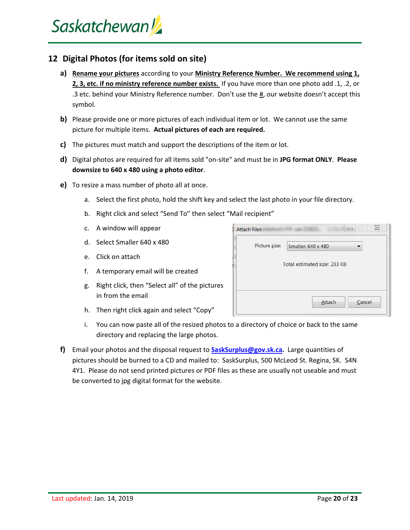#### **12 Digital Photos (for items sold on site)**

- **a) Rename your pictures** according to your **Ministry Reference Number. We recommend using 1, 2, 3, etc. if no ministry reference number exists.** If you have more than one photo add .1, .2, or .3 etc. behind your Ministry Reference number. Don't use the #, our website doesn't accept this symbol.
- **b)** Please provide one or more pictures of each individual item or lot. We cannot use the same picture for multiple items. **Actual pictures of each are required.**
- **c)** The pictures must match and support the descriptions of the item or lot.
- **d)** Digital photos are required for all items sold "on‐site" and must be in **JPG format ONLY**. **Please downsize to 640 x 480 using a photo editor**.
- **e)** To resize a mass number of photo all at once.
	- a. Select the first photo, hold the shift key and select the last photo in your file directory.
	- b. Right click and select "Send To" then select "Mail recipient"
	- c. A window will appear
	- d. Select Smaller 640 x 480
	- e. Click on attach
	- f. A temporary email will be created
	- g. Right click, then "Select all" of the pictures in from the email
	- h. Then right click again and select "Copy"
	- i. You can now paste all of the resized photos to a directory of choice or back to the same directory and replacing the large photos.
- **f)** Email your photos and the disposal request to **SaskSurplus@gov.sk.ca.** Large quantities of pictures should be burned to a CD and mailed to: SaskSurplus, 500 McLeod St. Regina, SK. S4N 4Y1. Please do not send printed pictures or PDF files as these are usually not useable and must be converted to jpg digital format for the website.

| <b>Attach Files</b> | X<br>E                       |
|---------------------|------------------------------|
| Picture size:       | Smaller: 640 x 480           |
|                     | Total estimated size: 233 KB |
|                     |                              |
|                     |                              |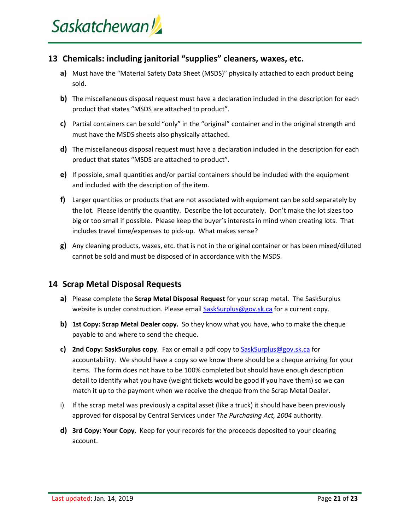#### **13 Chemicals: including janitorial "supplies" cleaners, waxes, etc.**

- **a)** Must have the "Material Safety Data Sheet (MSDS)" physically attached to each product being sold.
- **b)** The miscellaneous disposal request must have a declaration included in the description for each product that states "MSDS are attached to product".
- **c)** Partial containers can be sold "only" in the "original" container and in the original strength and must have the MSDS sheets also physically attached.
- **d)** The miscellaneous disposal request must have a declaration included in the description for each product that states "MSDS are attached to product".
- **e)** If possible, small quantities and/or partial containers should be included with the equipment and included with the description of the item.
- **f)** Larger quantities or products that are not associated with equipment can be sold separately by the lot. Please identify the quantity. Describe the lot accurately. Don't make the lot sizes too big or too small if possible. Please keep the buyer's interests in mind when creating lots. That includes travel time/expenses to pick‐up. What makes sense?
- **g)** Any cleaning products, waxes, etc. that is not in the original container or has been mixed/diluted cannot be sold and must be disposed of in accordance with the MSDS.

#### **14 Scrap Metal Disposal Requests**

- **a)** Please complete the **Scrap Metal Disposal Request** for your scrap metal. The SaskSurplus website is under construction. Please email SaskSurplus@gov.sk.ca for a current copy.
- **b) 1st Copy: Scrap Metal Dealer copy.** So they know what you have, who to make the cheque payable to and where to send the cheque.
- **c) 2nd Copy: SaskSurplus copy**. Fax or email a pdf copy to SaskSurplus@gov.sk.ca for accountability. We should have a copy so we know there should be a cheque arriving for your items. The form does not have to be 100% completed but should have enough description detail to identify what you have (weight tickets would be good if you have them) so we can match it up to the payment when we receive the cheque from the Scrap Metal Dealer.
- i) If the scrap metal was previously a capital asset (like a truck) it should have been previously approved for disposal by Central Services under *The Purchasing Act, 2004* authority.
- **d) 3rd Copy: Your Copy**. Keep for your records for the proceeds deposited to your clearing account.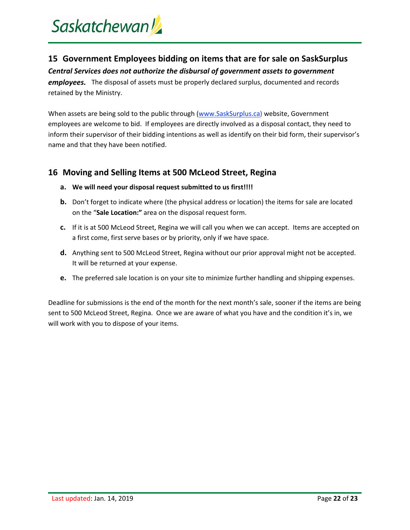# Saskatchewan

### **15 Government Employees bidding on items that are for sale on SaskSurplus**

*Central Services does not authorize the disbursal of government assets to government*

*employees.* The disposal of assets must be properly declared surplus, documented and records retained by the Ministry.

When assets are being sold to the public through (www.SaskSurplus.ca) website, Government employees are welcome to bid. If employees are directly involved as a disposal contact, they need to inform their supervisor of their bidding intentions as well as identify on their bid form, their supervisor's name and that they have been notified.

#### **16 Moving and Selling Items at 500 McLeod Street, Regina**

- **a. We will need your disposal request submitted to us first!!!!**
- **b.** Don't forget to indicate where (the physical address or location) the items for sale are located on the "**Sale Location:"** area on the disposal request form.
- **c.** If it is at 500 McLeod Street, Regina we will call you when we can accept. Items are accepted on a first come, first serve bases or by priority, only if we have space.
- **d.** Anything sent to 500 McLeod Street, Regina without our prior approval might not be accepted. It will be returned at your expense.
- **e.** The preferred sale location is on your site to minimize further handling and shipping expenses.

Deadline for submissions is the end of the month for the next month's sale, sooner if the items are being sent to 500 McLeod Street, Regina. Once we are aware of what you have and the condition it's in, we will work with you to dispose of your items.